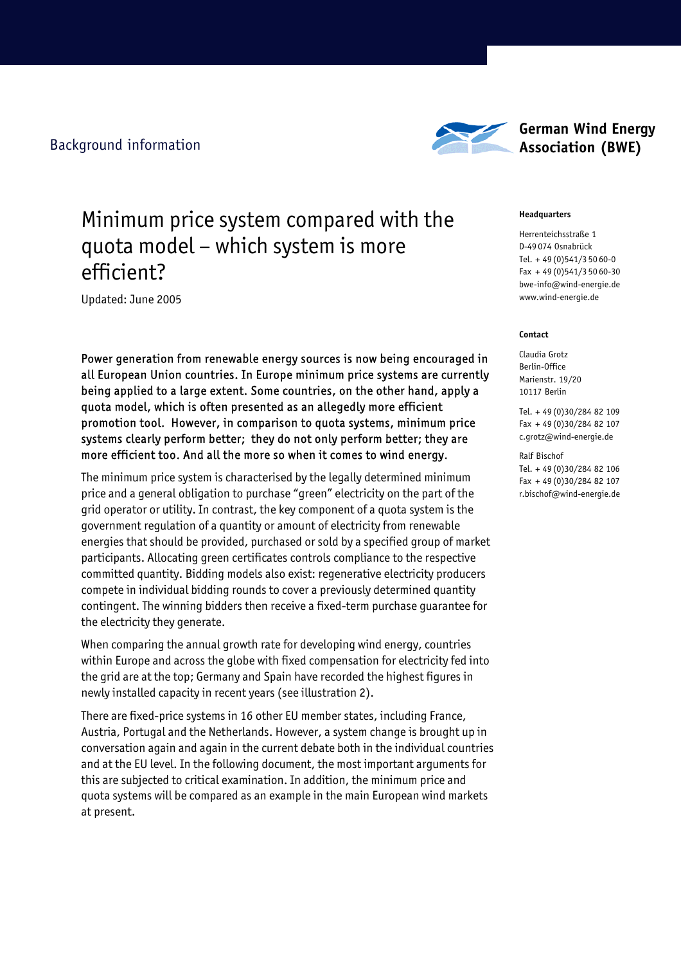Background information



# **German Wind Energy Association (BWE)**

# Minimum price system compared with the quota model – which system is more efficient?

Updated: June 2005

Power generation from renewable energy sources is now being encouraged in all European Union countries. In Europe minimum price systems are currently being applied to a large extent. Some countries, on the other hand, apply a quota model, which is often presented as an allegedly more efficient promotion tool. However, in comparison to quota systems, minimum price systems clearly perform better; they do not only perform better; they are more efficient too. And all the more so when it comes to wind energy.

The minimum price system is characterised by the legally determined minimum price and a general obligation to purchase "green" electricity on the part of the grid operator or utility. In contrast, the key component of a quota system is the government regulation of a quantity or amount of electricity from renewable energies that should be provided, purchased or sold by a specified group of market participants. Allocating green certificates controls compliance to the respective committed quantity. Bidding models also exist: regenerative electricity producers compete in individual bidding rounds to cover a previously determined quantity contingent. The winning bidders then receive a fixed-term purchase guarantee for the electricity they generate.

When comparing the annual growth rate for developing wind energy, countries within Europe and across the globe with fixed compensation for electricity fed into the grid are at the top; Germany and Spain have recorded the highest figures in newly installed capacity in recent years (see illustration 2).

There are fixed-price systems in 16 other EU member states, including France, Austria, Portugal and the Netherlands. However, a system change is brought up in conversation again and again in the current debate both in the individual countries and at the EU level. In the following document, the most important arguments for this are subjected to critical examination. In addition, the minimum price and quota systems will be compared as an example in the main European wind markets at present.

### **Headquarters**

Herrenteichsstraße 1 D-49 074 Osnabrück Tel. + 49 (0)541/3 50 60-0 Fax + 49 (0)541/3 50 60-30 bwe-info@wind-energie.de www.wind-energie.de

### **Contact**

Claudia Grotz Berlin-Office Marienstr. 19/20 10117 Berlin

Tel. + 49 (0)30/284 82 109 Fax + 49 (0)30/284 82 107 c.grotz@wind-energie.de

Ralf Bischof Tel. + 49 (0)30/284 82 106 Fax + 49 (0)30/284 82 107 r.bischof@wind-energie.de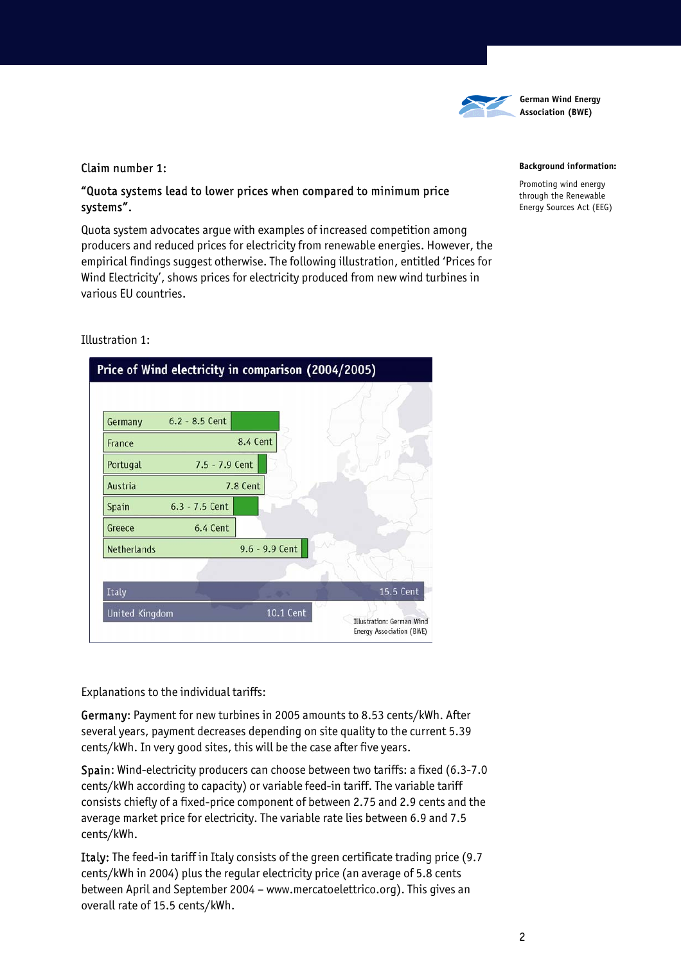

### Claim number 1:

# "Quota systems lead to lower prices when compared to minimum price systems".

Quota system advocates argue with examples of increased competition among producers and reduced prices for electricity from renewable energies. However, the empirical findings suggest otherwise. The following illustration, entitled 'Prices for Wind Electricity', shows prices for electricity produced from new wind turbines in various EU countries.

### Illustration 1:

|                       | Price of Wind electricity in comparison (2004/2005) |                  |           |                                                       |
|-----------------------|-----------------------------------------------------|------------------|-----------|-------------------------------------------------------|
|                       |                                                     |                  |           |                                                       |
| Germany               | $6.2 - 8.5$ Cent                                    |                  |           |                                                       |
| France                |                                                     | 8.4 Cent         |           |                                                       |
| Portugal              | $7.5 - 7.9$ Cent                                    |                  |           |                                                       |
| Austria               |                                                     | 7.8 Cent         |           |                                                       |
| Spain                 | $6.3 - 7.5$ Cent                                    |                  |           |                                                       |
| Greece                | 6.4 Cent                                            |                  |           |                                                       |
| <b>Netherlands</b>    |                                                     | $9.6 - 9.9$ Cent | XX.       |                                                       |
|                       |                                                     |                  |           |                                                       |
| Italy                 |                                                     |                  |           | 15.5 Cent                                             |
| <b>United Kingdom</b> |                                                     |                  | 10.1 Cent | Illustration: German Wind<br>Energy Association (BWE) |

Explanations to the individual tariffs:

Germany: Payment for new turbines in 2005 amounts to 8.53 cents/kWh. After several years, payment decreases depending on site quality to the current 5.39 cents/kWh. In very good sites, this will be the case after five years.

Spain: Wind-electricity producers can choose between two tariffs: a fixed (6.3-7.0 cents/kWh according to capacity) or variable feed-in tariff. The variable tariff consists chiefly of a fixed-price component of between 2.75 and 2.9 cents and the average market price for electricity. The variable rate lies between 6.9 and 7.5 cents/kWh.

Italy: The feed-in tariff in Italy consists of the green certificate trading price (9.7 cents/kWh in 2004) plus the regular electricity price (an average of 5.8 cents between April and September 2004 – www.mercatoelettrico.org). This gives an overall rate of 15.5 cents/kWh.

### **Background information:**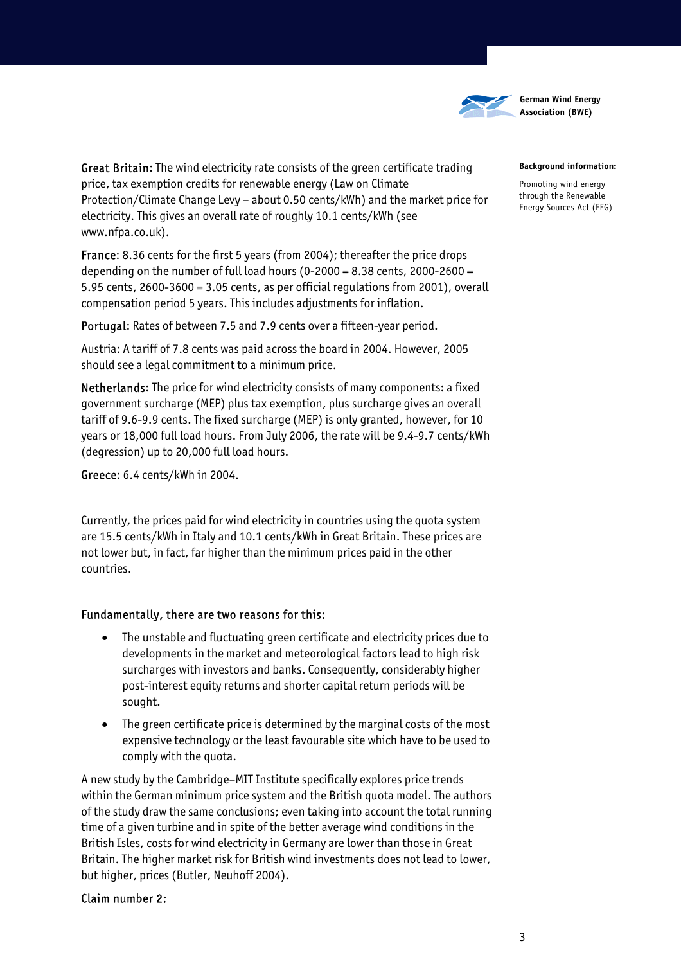

# Great Britain: The wind electricity rate consists of the green certificate trading price, tax exemption credits for renewable energy (Law on Climate Protection/Climate Change Levy – about 0.50 cents/kWh) and the market price for electricity. This gives an overall rate of roughly 10.1 cents/kWh (see www.nfpa.co.uk).

France: 8.36 cents for the first 5 years (from 2004); thereafter the price drops depending on the number of full load hours (0-2000 =  $8.38$  cents, 2000-2600 = 5.95 cents, 2600-3600 = 3.05 cents, as per official regulations from 2001), overall compensation period 5 years. This includes adjustments for inflation.

Portugal: Rates of between 7.5 and 7.9 cents over a fifteen-year period.

Austria: A tariff of 7.8 cents was paid across the board in 2004. However, 2005 should see a legal commitment to a minimum price.

Netherlands: The price for wind electricity consists of many components: a fixed government surcharge (MEP) plus tax exemption, plus surcharge gives an overall tariff of 9.6-9.9 cents. The fixed surcharge (MEP) is only granted, however, for 10 years or 18,000 full load hours. From July 2006, the rate will be 9.4-9.7 cents/kWh (degression) up to 20,000 full load hours.

Greece: 6.4 cents/kWh in 2004.

Currently, the prices paid for wind electricity in countries using the quota system are 15.5 cents/kWh in Italy and 10.1 cents/kWh in Great Britain. These prices are not lower but, in fact, far higher than the minimum prices paid in the other countries.

## Fundamentally, there are two reasons for this:

- The unstable and fluctuating green certificate and electricity prices due to developments in the market and meteorological factors lead to high risk surcharges with investors and banks. Consequently, considerably higher post-interest equity returns and shorter capital return periods will be sought.
- The green certificate price is determined by the marginal costs of the most expensive technology or the least favourable site which have to be used to comply with the quota.

A new study by the Cambridge–MIT Institute specifically explores price trends within the German minimum price system and the British quota model. The authors of the study draw the same conclusions; even taking into account the total running time of a given turbine and in spite of the better average wind conditions in the British Isles, costs for wind electricity in Germany are lower than those in Great Britain. The higher market risk for British wind investments does not lead to lower, but higher, prices (Butler, Neuhoff 2004).

## Claim number 2:

### **Background information:**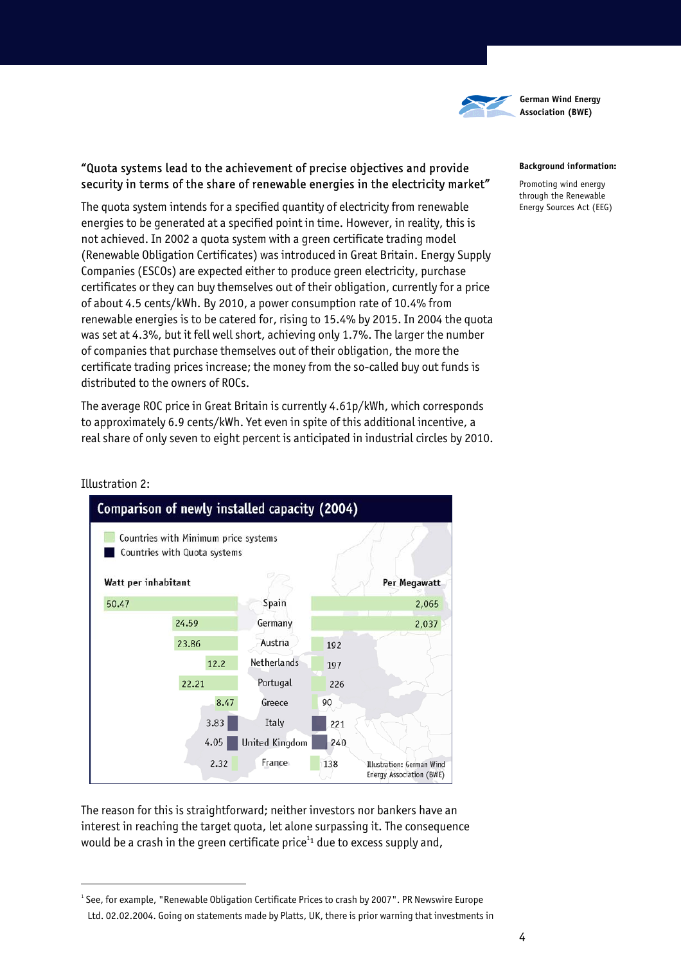

# "Quota systems lead to the achievement of precise objectives and provide security in terms of the share of renewable energies in the electricity market"

The quota system intends for a specified quantity of electricity from renewable energies to be generated at a specified point in time. However, in reality, this is not achieved. In 2002 a quota system with a green certificate trading model (Renewable Obligation Certificates) was introduced in Great Britain. Energy Supply Companies (ESCOs) are expected either to produce green electricity, purchase certificates or they can buy themselves out of their obligation, currently for a price of about 4.5 cents/kWh. By 2010, a power consumption rate of 10.4% from renewable energies is to be catered for, rising to 15.4% by 2015. In 2004 the quota was set at 4.3%, but it fell well short, achieving only 1.7%. The larger the number of companies that purchase themselves out of their obligation, the more the certificate trading prices increase; the money from the so-called buy out funds is distributed to the owners of ROCs.

The average ROC price in Great Britain is currently 4.61p/kWh, which corresponds to approximately 6.9 cents/kWh. Yet even in spite of this additional incentive, a real share of only seven to eight percent is anticipated in industrial circles by 2010.

### **Background information:**

Promoting wind energy through the Renewable Energy Sources Act (EEG)



### Illustration 2:

 $\overline{a}$ 

The reason for this is straightforward; neither investors nor bankers have an interest in reaching the target quota, let alone surpassing it. The consequence would be a crash in the green certificate price $^{11}$  due to excess supply and,

 $^{\text{\tiny{1}}}$  See, for example, "Renewable Obligation Certificate Prices to crash by 2007". PR Newswire Europe Ltd. 02.02.2004. Going on statements made by Platts, UK, there is prior warning that investments in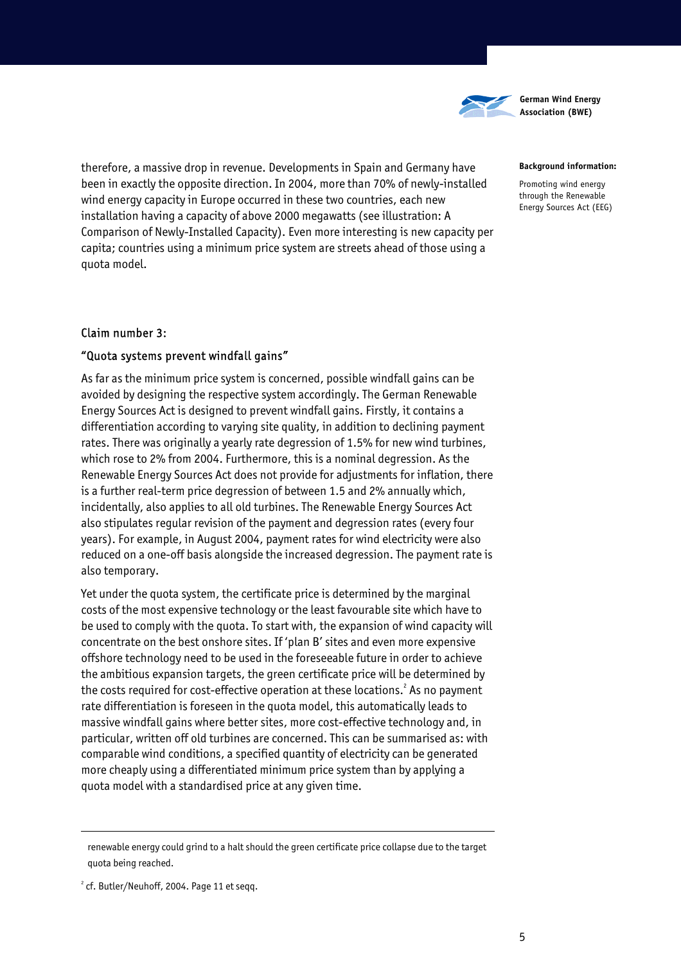

#### **Background information:**

Promoting wind energy through the Renewable Energy Sources Act (EEG)

therefore, a massive drop in revenue. Developments in Spain and Germany have been in exactly the opposite direction. In 2004, more than 70% of newly-installed wind energy capacity in Europe occurred in these two countries, each new installation having a capacity of above 2000 megawatts (see illustration: A Comparison of Newly-Installed Capacity). Even more interesting is new capacity per capita; countries using a minimum price system are streets ahead of those using a quota model.

### Claim number 3:

### "Quota systems prevent windfall gains"

As far as the minimum price system is concerned, possible windfall gains can be avoided by designing the respective system accordingly. The German Renewable Energy Sources Act is designed to prevent windfall gains. Firstly, it contains a differentiation according to varying site quality, in addition to declining payment rates. There was originally a yearly rate degression of 1.5% for new wind turbines, which rose to 2% from 2004. Furthermore, this is a nominal degression. As the Renewable Energy Sources Act does not provide for adjustments for inflation, there is a further real-term price degression of between 1.5 and 2% annually which, incidentally, also applies to all old turbines. The Renewable Energy Sources Act also stipulates regular revision of the payment and degression rates (every four years). For example, in August 2004, payment rates for wind electricity were also reduced on a one-off basis alongside the increased degression. The payment rate is also temporary.

Yet under the quota system, the certificate price is determined by the marginal costs of the most expensive technology or the least favourable site which have to be used to comply with the quota. To start with, the expansion of wind capacity will concentrate on the best onshore sites. If 'plan B' sites and even more expensive offshore technology need to be used in the foreseeable future in order to achieve the ambitious expansion targets, the green certificate price will be determined by the costs required for cost-effective operation at these locations. $^2$  As no payment rate differentiation is foreseen in the quota model, this automatically leads to massive windfall gains where better sites, more cost-effective technology and, in particular, written off old turbines are concerned. This can be summarised as: with comparable wind conditions, a specified quantity of electricity can be generated more cheaply using a differentiated minimum price system than by applying a quota model with a standardised price at any given time.

 $\overline{a}$ 

renewable energy could grind to a halt should the green certificate price collapse due to the target quota being reached.

 $2$  cf. Butler/Neuhoff, 2004. Page 11 et seqq.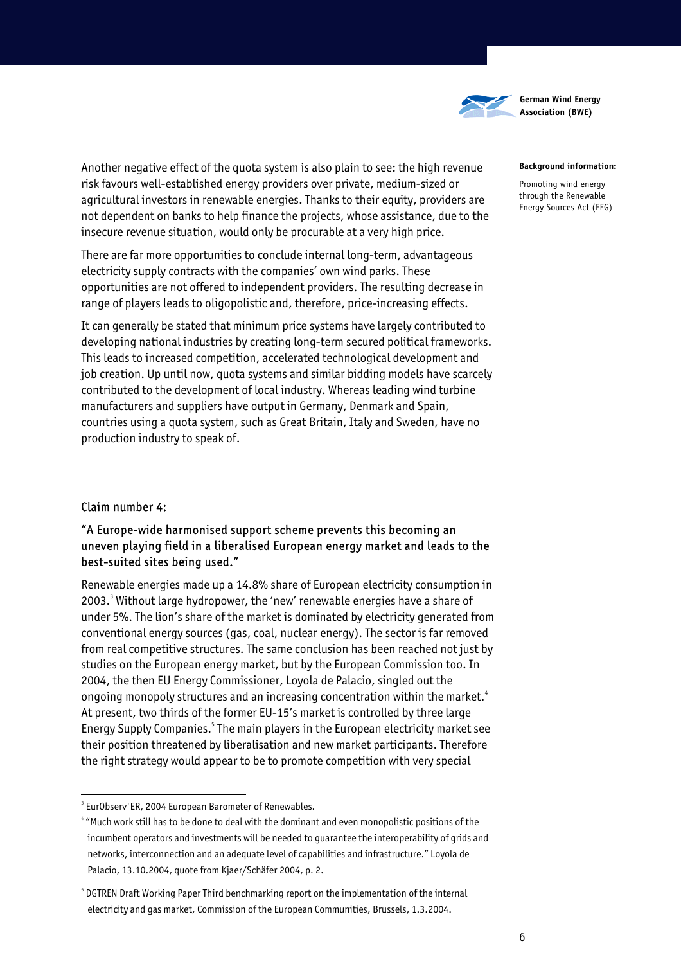

#### **Background information:**

Promoting wind energy through the Renewable Energy Sources Act (EEG)

Another negative effect of the quota system is also plain to see: the high revenue risk favours well-established energy providers over private, medium-sized or agricultural investors in renewable energies. Thanks to their equity, providers are not dependent on banks to help finance the projects, whose assistance, due to the insecure revenue situation, would only be procurable at a very high price.

There are far more opportunities to conclude internal long-term, advantageous electricity supply contracts with the companies' own wind parks. These opportunities are not offered to independent providers. The resulting decrease in range of players leads to oligopolistic and, therefore, price-increasing effects.

It can generally be stated that minimum price systems have largely contributed to developing national industries by creating long-term secured political frameworks. This leads to increased competition, accelerated technological development and job creation. Up until now, quota systems and similar bidding models have scarcely contributed to the development of local industry. Whereas leading wind turbine manufacturers and suppliers have output in Germany, Denmark and Spain, countries using a quota system, such as Great Britain, Italy and Sweden, have no production industry to speak of.

## Claim number 4:

 $\overline{a}$ 

# "A Europe-wide harmonised support scheme prevents this becoming an uneven playing field in a liberalised European energy market and leads to the best-suited sites being used."

Renewable energies made up a 14.8% share of European electricity consumption in 2003.<sup>3</sup> Without large hydropower, the 'new' renewable energies have a share of under 5%. The lion's share of the market is dominated by electricity generated from conventional energy sources (gas, coal, nuclear energy). The sector is far removed from real competitive structures. The same conclusion has been reached not just by studies on the European energy market, but by the European Commission too. In 2004, the then EU Energy Commissioner, Loyola de Palacio, singled out the ongoing monopoly structures and an increasing concentration within the market.<sup>4</sup> At present, two thirds of the former EU-15's market is controlled by three large Energy Supply Companies.<sup>5</sup> The main players in the European electricity market see their position threatened by liberalisation and new market participants. Therefore the right strategy would appear to be to promote competition with very special

<sup>&</sup>lt;sup>3</sup> EurObserv'ER, 2004 European Barometer of Renewables.

<sup>4</sup> "Much work still has to be done to deal with the dominant and even monopolistic positions of the incumbent operators and investments will be needed to guarantee the interoperability of grids and networks, interconnection and an adequate level of capabilities and infrastructure." Loyola de Palacio, 13.10.2004, quote from Kjaer/Schäfer 2004, p. 2.

 $5$  DGTREN Draft Working Paper Third benchmarking report on the implementation of the internal electricity and gas market, Commission of the European Communities, Brussels, 1.3.2004.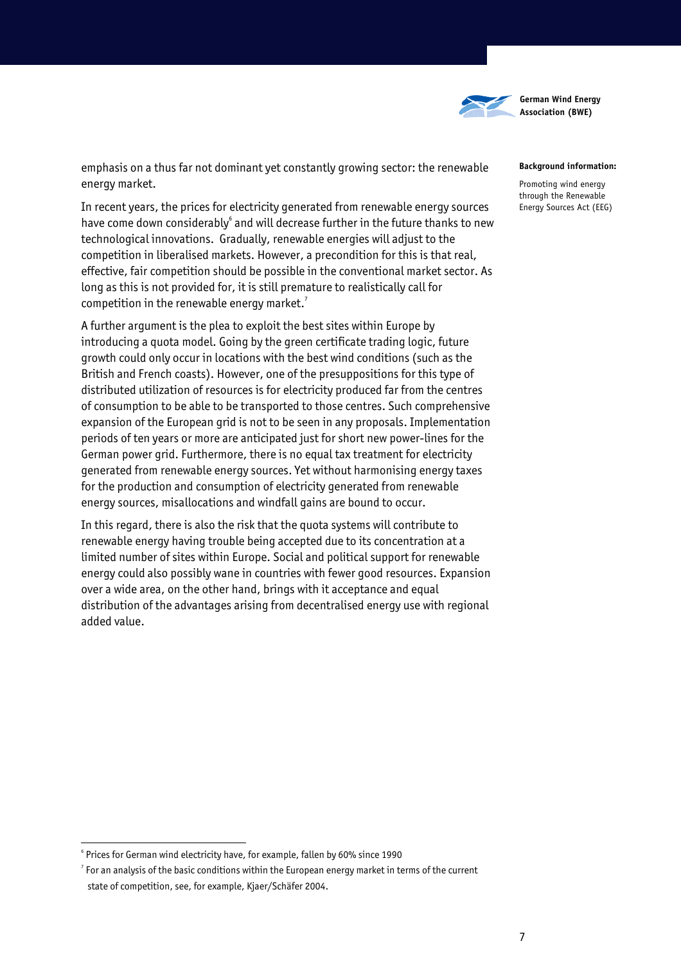

emphasis on a thus far not dominant yet constantly growing sector: the renewable energy market.

In recent years, the prices for electricity generated from renewable energy sources have come down considerably $^{\circ}$  and will decrease further in the future thanks to new technological innovations. Gradually, renewable energies will adjust to the competition in liberalised markets. However, a precondition for this is that real, effective, fair competition should be possible in the conventional market sector. As long as this is not provided for, it is still premature to realistically call for competition in the renewable energy market.<sup>7</sup>

A further argument is the plea to exploit the best sites within Europe by introducing a quota model. Going by the green certificate trading logic, future growth could only occur in locations with the best wind conditions (such as the British and French coasts). However, one of the presuppositions for this type of distributed utilization of resources is for electricity produced far from the centres of consumption to be able to be transported to those centres. Such comprehensive expansion of the European grid is not to be seen in any proposals. Implementation periods of ten years or more are anticipated just for short new power-lines for the German power grid. Furthermore, there is no equal tax treatment for electricity generated from renewable energy sources. Yet without harmonising energy taxes for the production and consumption of electricity generated from renewable energy sources, misallocations and windfall gains are bound to occur.

In this regard, there is also the risk that the quota systems will contribute to renewable energy having trouble being accepted due to its concentration at a limited number of sites within Europe. Social and political support for renewable energy could also possibly wane in countries with fewer good resources. Expansion over a wide area, on the other hand, brings with it acceptance and equal distribution of the advantages arising from decentralised energy use with regional added value.

#### **Background information:**

Promoting wind energy through the Renewable Energy Sources Act (EEG)

 $\overline{a}$ 

<sup>&</sup>lt;sup>6</sup> Prices for German wind electricity have, for example, fallen by 60% since 1990<br><sup>7</sup> Fexan applysis of the basis canditions within the European approxy market in to

 $\frac{7}{1}$  For an analysis of the basic conditions within the European energy market in terms of the current state of competition, see, for example, Kjaer/Schäfer 2004.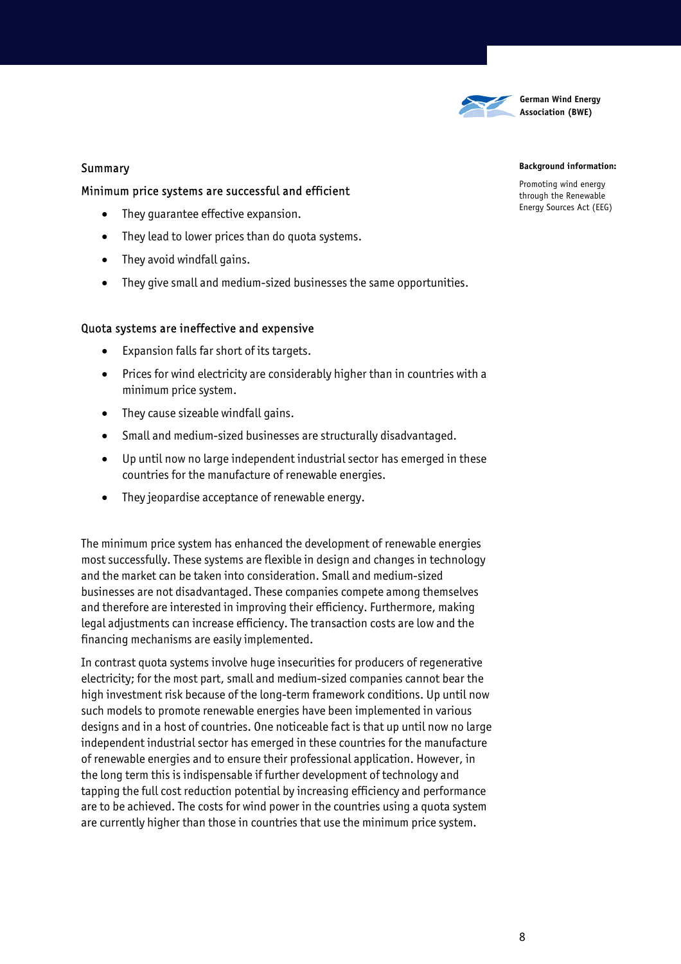

### Summary

### Minimum price systems are successful and efficient

- They guarantee effective expansion.
- They lead to lower prices than do quota systems.
- They avoid windfall gains.
- They give small and medium-sized businesses the same opportunities.

### Quota systems are ineffective and expensive

- Expansion falls far short of its targets.
- Prices for wind electricity are considerably higher than in countries with a minimum price system.
- They cause sizeable windfall gains.
- Small and medium-sized businesses are structurally disadvantaged.
- Up until now no large independent industrial sector has emerged in these countries for the manufacture of renewable energies.
- They jeopardise acceptance of renewable energy.

The minimum price system has enhanced the development of renewable energies most successfully. These systems are flexible in design and changes in technology and the market can be taken into consideration. Small and medium-sized businesses are not disadvantaged. These companies compete among themselves and therefore are interested in improving their efficiency. Furthermore, making legal adjustments can increase efficiency. The transaction costs are low and the financing mechanisms are easily implemented.

In contrast quota systems involve huge insecurities for producers of regenerative electricity; for the most part, small and medium-sized companies cannot bear the high investment risk because of the long-term framework conditions. Up until now such models to promote renewable energies have been implemented in various designs and in a host of countries. One noticeable fact is that up until now no large independent industrial sector has emerged in these countries for the manufacture of renewable energies and to ensure their professional application. However, in the long term this is indispensable if further development of technology and tapping the full cost reduction potential by increasing efficiency and performance are to be achieved. The costs for wind power in the countries using a quota system are currently higher than those in countries that use the minimum price system.

### **Background information:**